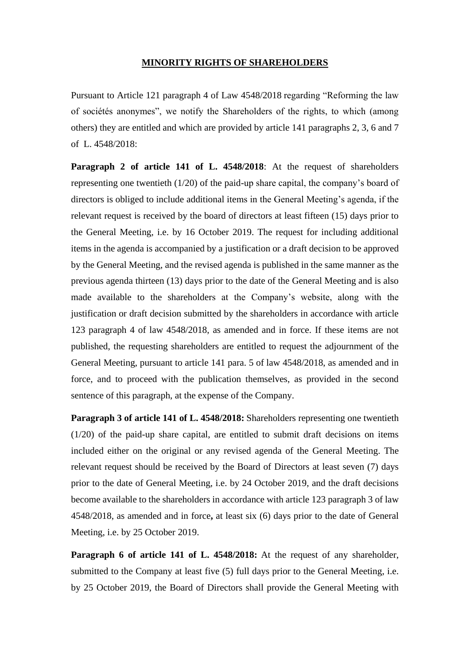## **MINORITY RIGHTS OF SHAREHOLDERS**

Pursuant to Article 121 paragraph 4 of Law 4548/2018 regarding "Reforming the law of sociétés anonymes", we notify the Shareholders of the rights, to which (among others) they are entitled and which are provided by article 141 paragraphs 2, 3, 6 and 7 of L. 4548/2018:

**Paragraph 2 of article 141 of L. 4548/2018**: At the request of shareholders representing one twentieth (1/20) of the paid-up share capital, the company's board of directors is obliged to include additional items in the General Meeting's agenda, if the relevant request is received by the board of directors at least fifteen (15) days prior to the General Meeting, i.e. by 16 October 2019. The request for including additional items in the agenda is accompanied by a justification or a draft decision to be approved by the General Meeting, and the revised agenda is published in the same manner as the previous agenda thirteen (13) days prior to the date of the General Meeting and is also made available to the shareholders at the Company's website, along with the justification or draft decision submitted by the shareholders in accordance with article 123 paragraph 4 of law 4548/2018, as amended and in force. If these items are not published, the requesting shareholders are entitled to request the adjournment of the General Meeting, pursuant to article 141 para. 5 of law 4548/2018, as amended and in force, and to proceed with the publication themselves, as provided in the second sentence of this paragraph, at the expense of the Company.

**Paragraph 3 of article 141 of L. 4548/2018:** Shareholders representing one twentieth (1/20) of the paid-up share capital, are entitled to submit draft decisions on items included either on the original or any revised agenda of the General Meeting. The relevant request should be received by the Board of Directors at least seven (7) days prior to the date of General Meeting, i.e. by 24 October 2019, and the draft decisions become available to the shareholders in accordance with article 123 paragraph 3 of law 4548/2018, as amended and in force**,** at least six (6) days prior to the date of General Meeting, i.e. by 25 October 2019.

**Paragraph 6 of article 141 of L. 4548/2018:** At the request of any shareholder, submitted to the Company at least five (5) full days prior to the General Meeting, i.e. by 25 October 2019, the Board of Directors shall provide the General Meeting with